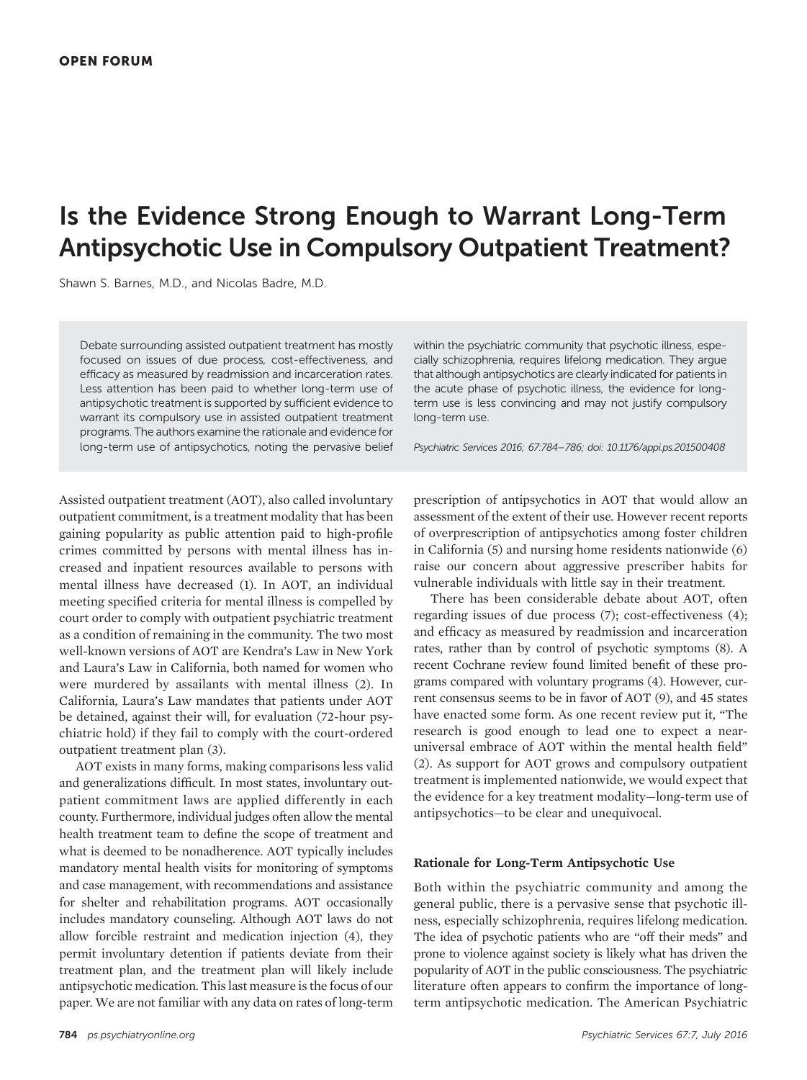# Is the Evidence Strong Enough to Warrant Long-Term Antipsychotic Use in Compulsory Outpatient Treatment?

Shawn S. Barnes, M.D., and Nicolas Badre, M.D.

Debate surrounding assisted outpatient treatment has mostly focused on issues of due process, cost-effectiveness, and efficacy as measured by readmission and incarceration rates. Less attention has been paid to whether long-term use of antipsychotic treatment is supported by sufficient evidence to warrant its compulsory use in assisted outpatient treatment programs. The authors examine the rationale and evidence for long-term use of antipsychotics, noting the pervasive belief

Assisted outpatient treatment (AOT), also called involuntary outpatient commitment, is a treatment modality that has been gaining popularity as public attention paid to high-profile crimes committed by persons with mental illness has increased and inpatient resources available to persons with mental illness have decreased (1). In AOT, an individual meeting specified criteria for mental illness is compelled by court order to comply with outpatient psychiatric treatment as a condition of remaining in the community. The two most well-known versions of AOT are Kendra's Law in New York and Laura's Law in California, both named for women who were murdered by assailants with mental illness (2). In California, Laura's Law mandates that patients under AOT be detained, against their will, for evaluation (72-hour psychiatric hold) if they fail to comply with the court-ordered outpatient treatment plan (3).

AOT exists in many forms, making comparisons less valid and generalizations difficult. In most states, involuntary outpatient commitment laws are applied differently in each county. Furthermore, individual judges often allow the mental health treatment team to define the scope of treatment and what is deemed to be nonadherence. AOT typically includes mandatory mental health visits for monitoring of symptoms and case management, with recommendations and assistance for shelter and rehabilitation programs. AOT occasionally includes mandatory counseling. Although AOT laws do not allow forcible restraint and medication injection (4), they permit involuntary detention if patients deviate from their treatment plan, and the treatment plan will likely include antipsychotic medication. This last measure is the focus of our paper. We are not familiar with any data on rates of long-term

within the psychiatric community that psychotic illness, especially schizophrenia, requires lifelong medication. They argue that although antipsychotics are clearly indicated for patients in the acute phase of psychotic illness, the evidence for longterm use is less convincing and may not justify compulsory long-term use.

Psychiatric Services 2016; 67:784–786; doi: 10.1176/appi.ps.201500408

prescription of antipsychotics in AOT that would allow an assessment of the extent of their use. However recent reports of overprescription of antipsychotics among foster children in California (5) and nursing home residents nationwide (6) raise our concern about aggressive prescriber habits for vulnerable individuals with little say in their treatment.

There has been considerable debate about AOT, often regarding issues of due process (7); cost-effectiveness (4); and efficacy as measured by readmission and incarceration rates, rather than by control of psychotic symptoms (8). A recent Cochrane review found limited benefit of these programs compared with voluntary programs (4). However, current consensus seems to be in favor of AOT (9), and 45 states have enacted some form. As one recent review put it, "The research is good enough to lead one to expect a nearuniversal embrace of AOT within the mental health field" (2). As support for AOT grows and compulsory outpatient treatment is implemented nationwide, we would expect that the evidence for a key treatment modality—long-term use of antipsychotics—to be clear and unequivocal.

#### Rationale for Long-Term Antipsychotic Use

Both within the psychiatric community and among the general public, there is a pervasive sense that psychotic illness, especially schizophrenia, requires lifelong medication. The idea of psychotic patients who are "off their meds" and prone to violence against society is likely what has driven the popularity of AOT in the public consciousness. The psychiatric literature often appears to confirm the importance of longterm antipsychotic medication. The American Psychiatric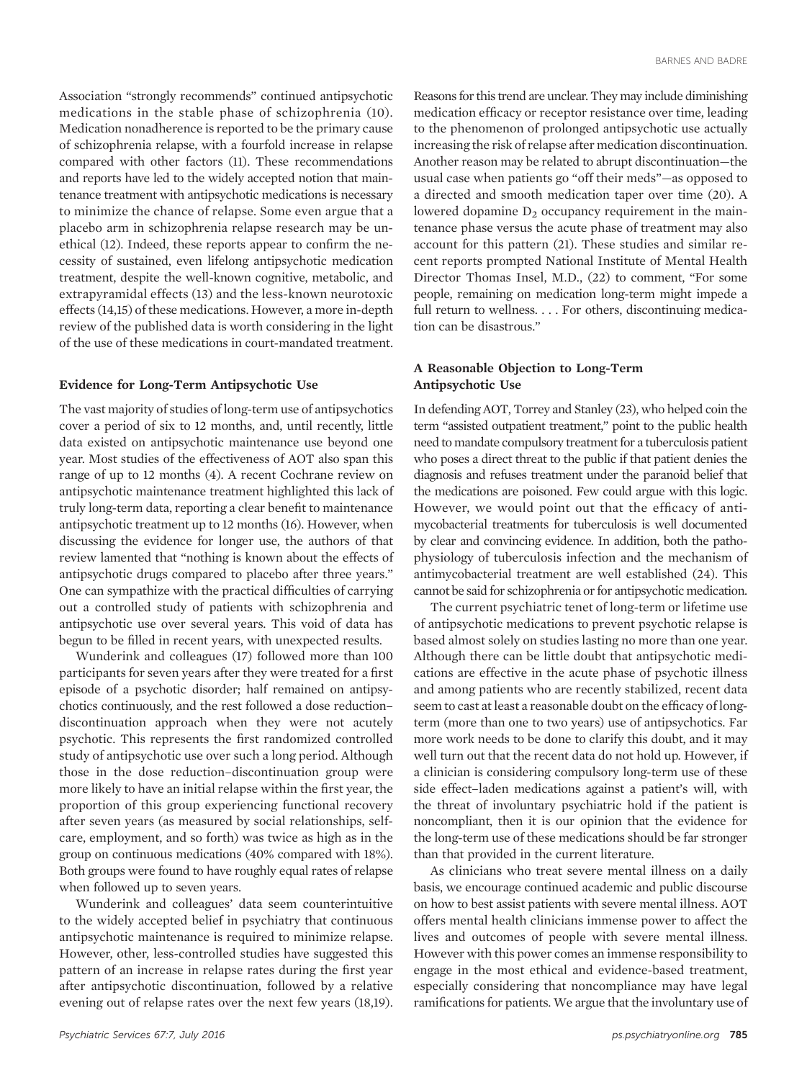Association "strongly recommends" continued antipsychotic medications in the stable phase of schizophrenia (10). Medication nonadherence is reported to be the primary cause of schizophrenia relapse, with a fourfold increase in relapse compared with other factors (11). These recommendations and reports have led to the widely accepted notion that maintenance treatment with antipsychotic medications is necessary to minimize the chance of relapse. Some even argue that a placebo arm in schizophrenia relapse research may be unethical (12). Indeed, these reports appear to confirm the necessity of sustained, even lifelong antipsychotic medication treatment, despite the well-known cognitive, metabolic, and extrapyramidal effects (13) and the less-known neurotoxic effects (14,15) of these medications. However, a more in-depth review of the published data is worth considering in the light of the use of these medications in court-mandated treatment.

## Evidence for Long-Term Antipsychotic Use

The vast majority of studies of long-term use of antipsychotics cover a period of six to 12 months, and, until recently, little data existed on antipsychotic maintenance use beyond one year. Most studies of the effectiveness of AOT also span this range of up to 12 months (4). A recent Cochrane review on antipsychotic maintenance treatment highlighted this lack of truly long-term data, reporting a clear benefit to maintenance antipsychotic treatment up to 12 months (16). However, when discussing the evidence for longer use, the authors of that review lamented that "nothing is known about the effects of antipsychotic drugs compared to placebo after three years." One can sympathize with the practical difficulties of carrying out a controlled study of patients with schizophrenia and antipsychotic use over several years. This void of data has begun to be filled in recent years, with unexpected results.

Wunderink and colleagues (17) followed more than 100 participants for seven years after they were treated for a first episode of a psychotic disorder; half remained on antipsychotics continuously, and the rest followed a dose reduction– discontinuation approach when they were not acutely psychotic. This represents the first randomized controlled study of antipsychotic use over such a long period. Although those in the dose reduction–discontinuation group were more likely to have an initial relapse within the first year, the proportion of this group experiencing functional recovery after seven years (as measured by social relationships, selfcare, employment, and so forth) was twice as high as in the group on continuous medications (40% compared with 18%). Both groups were found to have roughly equal rates of relapse when followed up to seven years.

Wunderink and colleagues' data seem counterintuitive to the widely accepted belief in psychiatry that continuous antipsychotic maintenance is required to minimize relapse. However, other, less-controlled studies have suggested this pattern of an increase in relapse rates during the first year after antipsychotic discontinuation, followed by a relative evening out of relapse rates over the next few years (18,19).

Reasons for this trend are unclear. They may include diminishing medication efficacy or receptor resistance over time, leading to the phenomenon of prolonged antipsychotic use actually increasing the risk of relapse after medication discontinuation. Another reason may be related to abrupt discontinuation—the usual case when patients go "off their meds"—as opposed to a directed and smooth medication taper over time (20). A lowered dopamine  $D_2$  occupancy requirement in the maintenance phase versus the acute phase of treatment may also account for this pattern (21). These studies and similar recent reports prompted National Institute of Mental Health Director Thomas Insel, M.D., (22) to comment, "For some people, remaining on medication long-term might impede a full return to wellness. . . . For others, discontinuing medication can be disastrous."

## A Reasonable Objection to Long-Term Antipsychotic Use

In defending AOT, Torrey and Stanley (23), who helped coin the term "assisted outpatient treatment," point to the public health need to mandate compulsory treatment for a tuberculosis patient who poses a direct threat to the public if that patient denies the diagnosis and refuses treatment under the paranoid belief that the medications are poisoned. Few could argue with this logic. However, we would point out that the efficacy of antimycobacterial treatments for tuberculosis is well documented by clear and convincing evidence. In addition, both the pathophysiology of tuberculosis infection and the mechanism of antimycobacterial treatment are well established (24). This cannot be said for schizophrenia or for antipsychotic medication.

The current psychiatric tenet of long-term or lifetime use of antipsychotic medications to prevent psychotic relapse is based almost solely on studies lasting no more than one year. Although there can be little doubt that antipsychotic medications are effective in the acute phase of psychotic illness and among patients who are recently stabilized, recent data seem to cast at least a reasonable doubt on the efficacy of longterm (more than one to two years) use of antipsychotics. Far more work needs to be done to clarify this doubt, and it may well turn out that the recent data do not hold up. However, if a clinician is considering compulsory long-term use of these side effect–laden medications against a patient's will, with the threat of involuntary psychiatric hold if the patient is noncompliant, then it is our opinion that the evidence for the long-term use of these medications should be far stronger than that provided in the current literature.

As clinicians who treat severe mental illness on a daily basis, we encourage continued academic and public discourse on how to best assist patients with severe mental illness. AOT offers mental health clinicians immense power to affect the lives and outcomes of people with severe mental illness. However with this power comes an immense responsibility to engage in the most ethical and evidence-based treatment, especially considering that noncompliance may have legal ramifications for patients. We argue that the involuntary use of